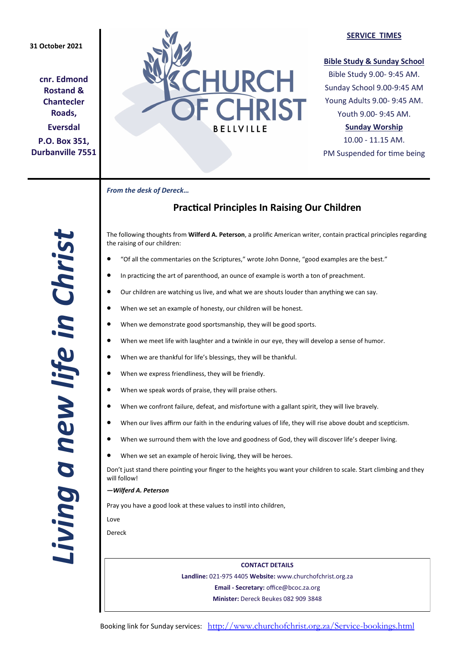## **31 October 2021**

**cnr. Edmond Rostand & Chantecler Roads, Eversdal P.O. Box 351, Durbanville 7551**



#### **SERVICE TIMES**

### **Bible Study & Sunday School**

Bible Study 9.00- 9:45 AM. Sunday School 9.00-9:45 AM Young Adults 9.00- 9:45 AM. Youth 9.00- 9:45 AM.

## **Sunday Worship**

10.00 - 11.15 AM. PM Suspended for time being

*From the desk of Dereck…* 

# **Practical Principles In Raising Our Children**

The following thoughts from **Wilferd A. Peterson**, a prolific American writer, contain practical principles regarding the raising of our children:

- "Of all the commentaries on the Scriptures," wrote John Donne, "good examples are the best."
- In practicing the art of parenthood, an ounce of example is worth a ton of preachment.
- Our children are watching us live, and what we are shouts louder than anything we can say.
- When we set an example of honesty, our children will be honest.
- When we demonstrate good sportsmanship, they will be good sports.
- When we meet life with laughter and a twinkle in our eye, they will develop a sense of humor.
- When we are thankful for life's blessings, they will be thankful.
- When we express friendliness, they will be friendly.
- When we speak words of praise, they will praise others.
- When we confront failure, defeat, and misfortune with a gallant spirit, they will live bravely.
- When our lives affirm our faith in the enduring values of life, they will rise above doubt and scepticism.
- When we surround them with the love and goodness of God, they will discover life's deeper living.
- When we set an example of heroic living, they will be heroes.

Don't just stand there pointing your finger to the heights you want your children to scale. Start climbing and they will follow!

*—Wilferd A. Peterson*

Pray you have a good look at these values to instil into children,

Love

Dereck

**CONTACT DETAILS Landline:** 021-975 4405 **Website:** www.churchofchrist.org.za **Email - Secretary:** office@bcoc.za.org **Minister:** Dereck Beukes 082 909 3848

*Living a new life in Christ*  Living a new life in Christ